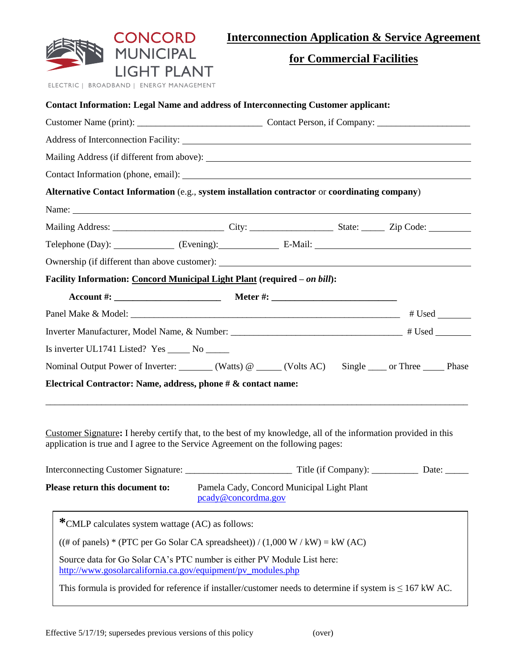|                                                                                                                                                                                                                                | CONCORD                                |  |                           | <b>Interconnection Application &amp; Service Agreement</b> |
|--------------------------------------------------------------------------------------------------------------------------------------------------------------------------------------------------------------------------------|----------------------------------------|--|---------------------------|------------------------------------------------------------|
| ELECTRIC   BROADBAND   ENERGY MANAGEMENT                                                                                                                                                                                       | <b>MUNICIPAL</b><br><b>LIGHT PLANT</b> |  | for Commercial Facilities |                                                            |
| <b>Contact Information: Legal Name and address of Interconnecting Customer applicant:</b>                                                                                                                                      |                                        |  |                           |                                                            |
|                                                                                                                                                                                                                                |                                        |  |                           |                                                            |
| Address of Interconnection Facility: No. 2016. The Second State of Seconds 2016. The Seconds of Interconnection Facility:                                                                                                      |                                        |  |                           |                                                            |
| Mailing Address (if different from above):                                                                                                                                                                                     |                                        |  |                           |                                                            |
| Contact Information (phone, email): Let us a series of the series of the series of the series of the series of the series of the series of the series of the series of the series of the series of the series of the series of |                                        |  |                           |                                                            |
| Alternative Contact Information (e.g., system installation contractor or coordinating company)                                                                                                                                 |                                        |  |                           |                                                            |
| Name:                                                                                                                                                                                                                          |                                        |  |                           |                                                            |
|                                                                                                                                                                                                                                |                                        |  |                           |                                                            |
|                                                                                                                                                                                                                                |                                        |  |                           |                                                            |
| Ownership (if different than above customer): Notice of the state of the state of the state of the state of the state of the state of the state of the state of the state of the state of the state of the state of the state  |                                        |  |                           |                                                            |
| Facility Information: Concord Municipal Light Plant (required - on bill):                                                                                                                                                      |                                        |  |                           |                                                            |
|                                                                                                                                                                                                                                |                                        |  |                           |                                                            |
|                                                                                                                                                                                                                                |                                        |  |                           |                                                            |
|                                                                                                                                                                                                                                |                                        |  |                           |                                                            |
| Is inverter UL1741 Listed? Yes ________ No _______                                                                                                                                                                             |                                        |  |                           |                                                            |
| Nominal Output Power of Inverter: _______ (Watts) @ ____ (Volts AC) Single ____ or Three _____ Phase                                                                                                                           |                                        |  |                           |                                                            |
| Electrical Contractor: Name, address, phone # & contact name:                                                                                                                                                                  |                                        |  |                           |                                                            |
| Customer Signature: I hereby certify that, to the best of my knowledge, all of the information provided in this<br>application is true and I agree to the Service Agreement on the following pages:                            |                                        |  |                           |                                                            |

| Interconnecting Customer Signature:    | Title (if Company):<br>Date:                                               |
|----------------------------------------|----------------------------------------------------------------------------|
| <b>Please return this document to:</b> | Pamela Cady, Concord Municipal Light Plant<br>$\text{pcady@concordma.gov}$ |

| *CMLP calculates system wattage (AC) as follows:                                                                                        |
|-----------------------------------------------------------------------------------------------------------------------------------------|
| $((# of panels) * (PTC per Go Solar CA spreadsheet)) / (1,000 W / kW) = kW (AC)$                                                        |
| Source data for Go Solar CA's PTC number is either PV Module List here:<br>http://www.gosolarcalifornia.ca.gov/equipment/pv_modules.php |
| This formula is provided for reference if installer/customer needs to determine if system is $\leq 167$ kW AC.                          |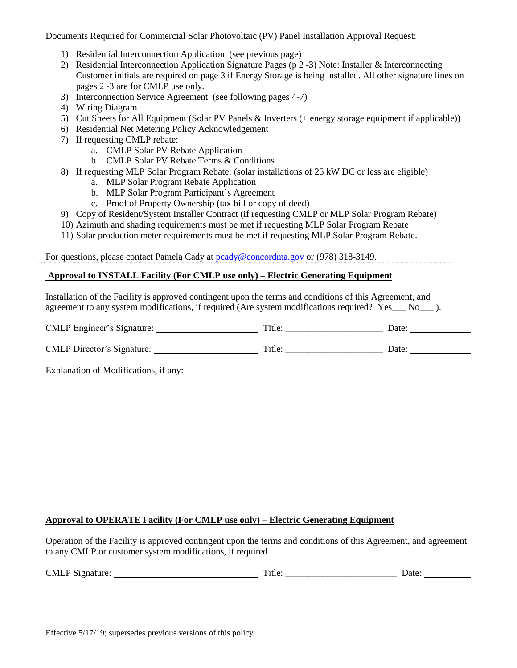Documents Required for Commercial Solar Photovoltaic (PV) Panel Installation Approval Request:

- 1) Residential Interconnection Application (see previous page)
- 2) Residential Interconnection Application Signature Pages (p 2 -3) Note: Installer & Interconnecting Customer initials are required on page 3 if Energy Storage is being installed. All other signature lines on pages 2 -3 are for CMLP use only.
- 3) Interconnection Service Agreement (see following pages 4-7)
- 4) Wiring Diagram
- 5) Cut Sheets for All Equipment (Solar PV Panels & Inverters (+ energy storage equipment if applicable))
- 6) Residential Net Metering Policy Acknowledgement
- 7) If requesting CMLP rebate:
	- a. CMLP Solar PV Rebate Application
	- b. CMLP Solar PV Rebate Terms & Conditions
- 8) If requesting MLP Solar Program Rebate: (solar installations of 25 kW DC or less are eligible)
	- a. MLP Solar Program Rebate Application
	- b. MLP Solar Program Participant's Agreement
	- c. Proof of Property Ownership (tax bill or copy of deed)
- 9) Copy of Resident/System Installer Contract (if requesting CMLP or MLP Solar Program Rebate)
- 10) Azimuth and shading requirements must be met if requesting MLP Solar Program Rebate
- 11) Solar production meter requirements must be met if requesting MLP Solar Program Rebate.

For questions, please contact Pamela Cady at [pcady@concordma.gov](mailto:pcady@concordma.gov) or (978) 318-3149.

## **Approval to INSTALL Facility (For CMLP use only) – Electric Generating Equipment**

Installation of the Facility is approved contingent upon the terms and conditions of this Agreement, and agreement to any system modifications, if required (Are system modifications required? Yes \_\_ No\_\_\_ ).

| <b>CMLP</b> Engineer's Signature: | Title: | Date: |
|-----------------------------------|--------|-------|
|                                   |        |       |
| <b>CMLP</b> Director's Signature: | Title: | Date: |

Explanation of Modifications, if any:

## **Approval to OPERATE Facility (For CMLP use only) – Electric Generating Equipment**

Operation of the Facility is approved contingent upon the terms and conditions of this Agreement, and agreement to any CMLP or customer system modifications, if required.

| <b>CMLP Si</b><br><del>. .</del><br>Signature:<br>⊥itle: | Jate |
|----------------------------------------------------------|------|
|----------------------------------------------------------|------|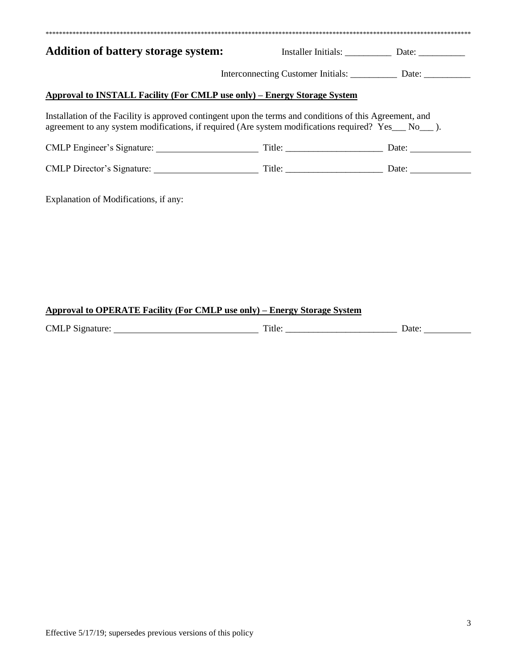| <b>Addition of battery storage system:</b>                                                                                                                                                                          |                                                                                  |  |
|---------------------------------------------------------------------------------------------------------------------------------------------------------------------------------------------------------------------|----------------------------------------------------------------------------------|--|
|                                                                                                                                                                                                                     | Interconnecting Customer Initials: ___________________ Date: ___________________ |  |
|                                                                                                                                                                                                                     |                                                                                  |  |
| Approval to INSTALL Facility (For CMLP use only) – Energy Storage System                                                                                                                                            |                                                                                  |  |
| Installation of the Facility is approved contingent upon the terms and conditions of this Agreement, and<br>agreement to any system modifications, if required (Are system modifications required? Yes ___ No___ ). |                                                                                  |  |
| CMLP Engineer's Signature: Title: Date: Date:                                                                                                                                                                       |                                                                                  |  |

# **Approval to OPERATE Facility (For CMLP use only) – Energy Storage System**

| <b>CMLP</b><br>$\sim$<br>чилите.<br>עור | –…<br>ritle.         | Jate |
|-----------------------------------------|----------------------|------|
| .<br>$-$                                | $\sim$ $\sim$ $\sim$ | .    |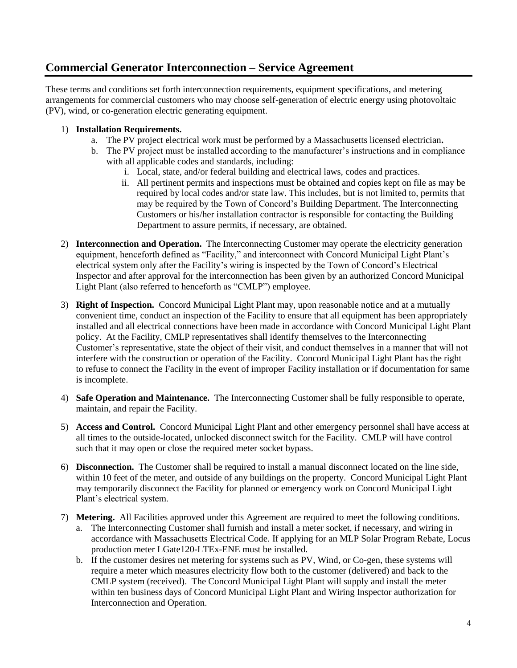# **Commercial Generator Interconnection – Service Agreement**

These terms and conditions set forth interconnection requirements, equipment specifications, and metering arrangements for commercial customers who may choose self-generation of electric energy using photovoltaic (PV), wind, or co-generation electric generating equipment.

# 1) **Installation Requirements.**

- a. The PV project electrical work must be performed by a Massachusetts licensed electrician**.**
- b. The PV project must be installed according to the manufacturer's instructions and in compliance with all applicable codes and standards, including:
	- i. Local, state, and/or federal building and electrical laws, codes and practices.
	- ii. All pertinent permits and inspections must be obtained and copies kept on file as may be required by local codes and/or state law. This includes, but is not limited to, permits that may be required by the Town of Concord's Building Department. The Interconnecting Customers or his/her installation contractor is responsible for contacting the Building Department to assure permits, if necessary, are obtained.
- 2) **Interconnection and Operation.** The Interconnecting Customer may operate the electricity generation equipment, henceforth defined as "Facility," and interconnect with Concord Municipal Light Plant's electrical system only after the Facility's wiring is inspected by the Town of Concord's Electrical Inspector and after approval for the interconnection has been given by an authorized Concord Municipal Light Plant (also referred to henceforth as "CMLP") employee.
- 3) **Right of Inspection.** Concord Municipal Light Plant may, upon reasonable notice and at a mutually convenient time, conduct an inspection of the Facility to ensure that all equipment has been appropriately installed and all electrical connections have been made in accordance with Concord Municipal Light Plant policy. At the Facility, CMLP representatives shall identify themselves to the Interconnecting Customer's representative, state the object of their visit, and conduct themselves in a manner that will not interfere with the construction or operation of the Facility. Concord Municipal Light Plant has the right to refuse to connect the Facility in the event of improper Facility installation or if documentation for same is incomplete.
- 4) **Safe Operation and Maintenance.** The Interconnecting Customer shall be fully responsible to operate, maintain, and repair the Facility.
- 5) **Access and Control.** Concord Municipal Light Plant and other emergency personnel shall have access at all times to the outside-located, unlocked disconnect switch for the Facility. CMLP will have control such that it may open or close the required meter socket bypass.
- 6) **Disconnection.** The Customer shall be required to install a manual disconnect located on the line side, within 10 feet of the meter, and outside of any buildings on the property. Concord Municipal Light Plant may temporarily disconnect the Facility for planned or emergency work on Concord Municipal Light Plant's electrical system.
- 7) **Metering.** All Facilities approved under this Agreement are required to meet the following conditions. a. The Interconnecting Customer shall furnish and install a meter socket, if necessary, and wiring in accordance with Massachusetts Electrical Code. If applying for an MLP Solar Program Rebate, Locus production meter LGate120-LTEx-ENE must be installed.
	- b. If the customer desires net metering for systems such as PV, Wind, or Co-gen, these systems will require a meter which measures electricity flow both to the customer (delivered) and back to the CMLP system (received). The Concord Municipal Light Plant will supply and install the meter within ten business days of Concord Municipal Light Plant and Wiring Inspector authorization for Interconnection and Operation.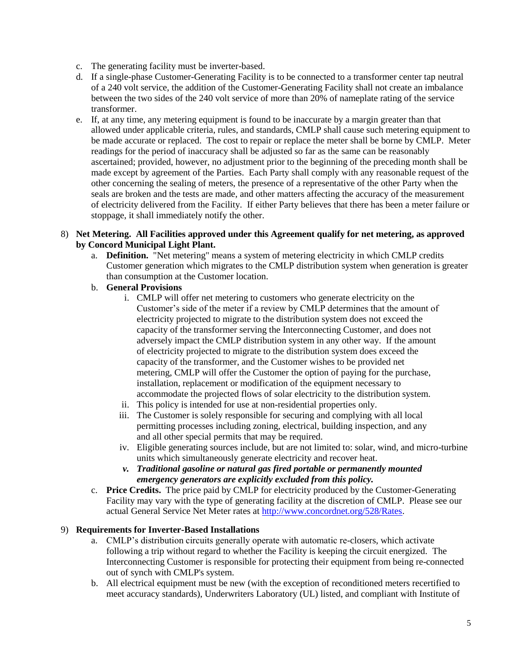- c. The generating facility must be inverter-based.
- d. If a single-phase Customer-Generating Facility is to be connected to a transformer center tap neutral of a 240 volt service, the addition of the Customer-Generating Facility shall not create an imbalance between the two sides of the 240 volt service of more than 20% of nameplate rating of the service transformer.
- e. If, at any time, any metering equipment is found to be inaccurate by a margin greater than that allowed under applicable criteria, rules, and standards, CMLP shall cause such metering equipment to be made accurate or replaced. The cost to repair or replace the meter shall be borne by CMLP. Meter readings for the period of inaccuracy shall be adjusted so far as the same can be reasonably ascertained; provided, however, no adjustment prior to the beginning of the preceding month shall be made except by agreement of the Parties. Each Party shall comply with any reasonable request of the other concerning the sealing of meters, the presence of a representative of the other Party when the seals are broken and the tests are made, and other matters affecting the accuracy of the measurement of electricity delivered from the Facility. If either Party believes that there has been a meter failure or stoppage, it shall immediately notify the other.

#### 8) **Net Metering. All Facilities approved under this Agreement qualify for net metering, as approved by Concord Municipal Light Plant.**

- a. **Definition.** "Net metering" means a system of metering electricity in which CMLP credits Customer generation which migrates to the CMLP distribution system when generation is greater than consumption at the Customer location.
- b. **General Provisions**
	- i. CMLP will offer net metering to customers who generate electricity on the Customer's side of the meter if a review by CMLP determines that the amount of electricity projected to migrate to the distribution system does not exceed the capacity of the transformer serving the Interconnecting Customer, and does not adversely impact the CMLP distribution system in any other way. If the amount of electricity projected to migrate to the distribution system does exceed the capacity of the transformer, and the Customer wishes to be provided net metering, CMLP will offer the Customer the option of paying for the purchase, installation, replacement or modification of the equipment necessary to accommodate the projected flows of solar electricity to the distribution system.
	- ii. This policy is intended for use at non-residential properties only.
	- iii. The Customer is solely responsible for securing and complying with all local permitting processes including zoning, electrical, building inspection, and any and all other special permits that may be required.
	- iv. Eligible generating sources include, but are not limited to: solar, wind, and micro-turbine units which simultaneously generate electricity and recover heat.
	- *v. Traditional gasoline or natural gas fired portable or permanently mounted emergency generators are explicitly excluded from this policy.*
- c. **Price Credits.** The price paid by CMLP for electricity produced by the Customer-Generating Facility may vary with the type of generating facility at the discretion of CMLP. Please see our actual General Service Net Meter rates at [http://www.concordnet.org/528/Rates.](http://www.concordnet.org/528/Rates)

## 9) **Requirements for Inverter-Based Installations**

- a. CMLP's distribution circuits generally operate with automatic re-closers, which activate following a trip without regard to whether the Facility is keeping the circuit energized. The Interconnecting Customer is responsible for protecting their equipment from being re-connected out of synch with CMLP's system.
- b. All electrical equipment must be new (with the exception of reconditioned meters recertified to meet accuracy standards), Underwriters Laboratory (UL) listed, and compliant with Institute of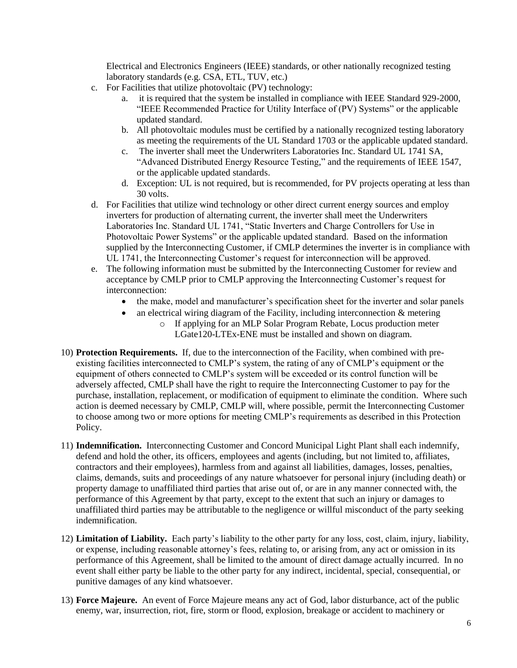Electrical and Electronics Engineers (IEEE) standards, or other nationally recognized testing laboratory standards (e.g. CSA, ETL, TUV, etc.)

- c. For Facilities that utilize photovoltaic (PV) technology:
	- a. it is required that the system be installed in compliance with IEEE Standard 929-2000, "IEEE Recommended Practice for Utility Interface of (PV) Systems" or the applicable updated standard.
	- b. All photovoltaic modules must be certified by a nationally recognized testing laboratory as meeting the requirements of the UL Standard 1703 or the applicable updated standard.
	- c. The inverter shall meet the Underwriters Laboratories Inc. Standard UL 1741 SA, "Advanced Distributed Energy Resource Testing," and the requirements of IEEE 1547, or the applicable updated standards.
	- d. Exception: UL is not required, but is recommended, for PV projects operating at less than 30 volts.
- d. For Facilities that utilize wind technology or other direct current energy sources and employ inverters for production of alternating current, the inverter shall meet the Underwriters Laboratories Inc. Standard UL 1741, "Static Inverters and Charge Controllers for Use in Photovoltaic Power Systems" or the applicable updated standard. Based on the information supplied by the Interconnecting Customer, if CMLP determines the inverter is in compliance with UL 1741, the Interconnecting Customer's request for interconnection will be approved.
- e. The following information must be submitted by the Interconnecting Customer for review and acceptance by CMLP prior to CMLP approving the Interconnecting Customer's request for interconnection:
	- the make, model and manufacturer's specification sheet for the inverter and solar panels
	- an electrical wiring diagram of the Facility, including interconnection & metering
		- o If applying for an MLP Solar Program Rebate, Locus production meter LGate120-LTEx-ENE must be installed and shown on diagram.
- 10) **Protection Requirements.** If, due to the interconnection of the Facility, when combined with preexisting facilities interconnected to CMLP's system, the rating of any of CMLP's equipment or the equipment of others connected to CMLP's system will be exceeded or its control function will be adversely affected, CMLP shall have the right to require the Interconnecting Customer to pay for the purchase, installation, replacement, or modification of equipment to eliminate the condition. Where such action is deemed necessary by CMLP, CMLP will, where possible, permit the Interconnecting Customer to choose among two or more options for meeting CMLP's requirements as described in this Protection Policy.
- 11) **Indemnification.** Interconnecting Customer and Concord Municipal Light Plant shall each indemnify, defend and hold the other, its officers, employees and agents (including, but not limited to, affiliates, contractors and their employees), harmless from and against all liabilities, damages, losses, penalties, claims, demands, suits and proceedings of any nature whatsoever for personal injury (including death) or property damage to unaffiliated third parties that arise out of, or are in any manner connected with, the performance of this Agreement by that party, except to the extent that such an injury or damages to unaffiliated third parties may be attributable to the negligence or willful misconduct of the party seeking indemnification.
- 12) **Limitation of Liability.** Each party's liability to the other party for any loss, cost, claim, injury, liability, or expense, including reasonable attorney's fees, relating to, or arising from, any act or omission in its performance of this Agreement, shall be limited to the amount of direct damage actually incurred. In no event shall either party be liable to the other party for any indirect, incidental, special, consequential, or punitive damages of any kind whatsoever.
- 13) **Force Majeure.** An event of Force Majeure means any act of God, labor disturbance, act of the public enemy, war, insurrection, riot, fire, storm or flood, explosion, breakage or accident to machinery or